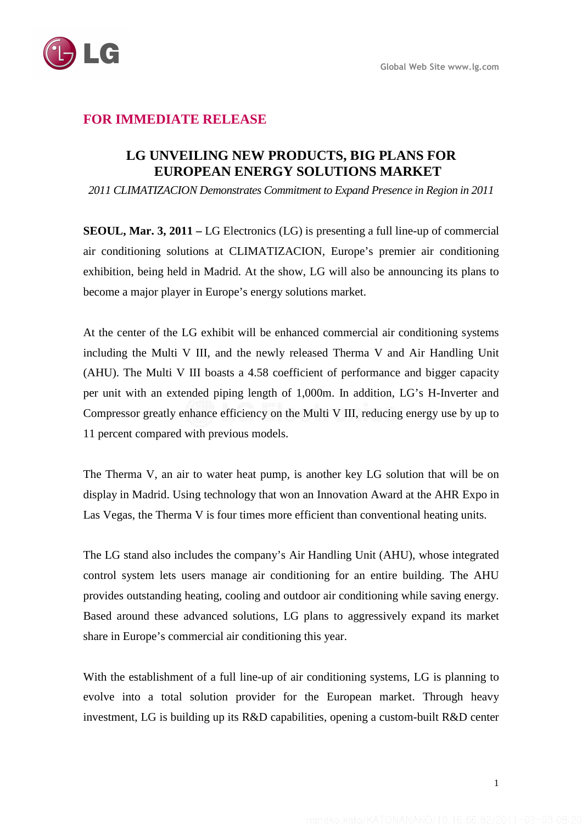

## **FOR IMMEDIATE RELEASE**

## **LG UNVEILING NEW PRODUCTS, BIG PLANS FOR EUROPEAN ENERGY SOLUTIONS MARKET**

*2011 CLIMATIZACION Demonstrates Commitment to Expand Presence in Region in 2011* 

**SEOUL, Mar. 3, 2011 –** LG Electronics (LG) is presenting a full line-up of commercial air conditioning solutions at CLIMATIZACION, Europe's premier air conditioning exhibition, being held in Madrid. At the show, LG will also be announcing its plans to become a major player in Europe's energy solutions market.

At the center of the LG exhibit will be enhanced commercial air conditioning systems including the Multi V III, and the newly released Therma V and Air Handling Unit (AHU). The Multi V III boasts a 4.58 coefficient of performance and bigger capacity per unit with an extended piping length of 1,000m. In addition, LG's H-Inverter and Compressor greatly enhance efficiency on the Multi V III, reducing energy use by up to 11 percent compared with previous models.

The Therma V, an air to water heat pump, is another key LG solution that will be on display in Madrid. Using technology that won an Innovation Award at the AHR Expo in Las Vegas, the Therma V is four times more efficient than conventional heating units.

The LG stand also includes the company's Air Handling Unit (AHU), whose integrated control system lets users manage air conditioning for an entire building. The AHU provides outstanding heating, cooling and outdoor air conditioning while saving energy. Based around these advanced solutions, LG plans to aggressively expand its market share in Europe's commercial air conditioning this year.

With the establishment of a full line-up of air conditioning systems, LG is planning to evolve into a total solution provider for the European market. Through heavy investment, LG is building up its R&D capabilities, opening a custom-built R&D center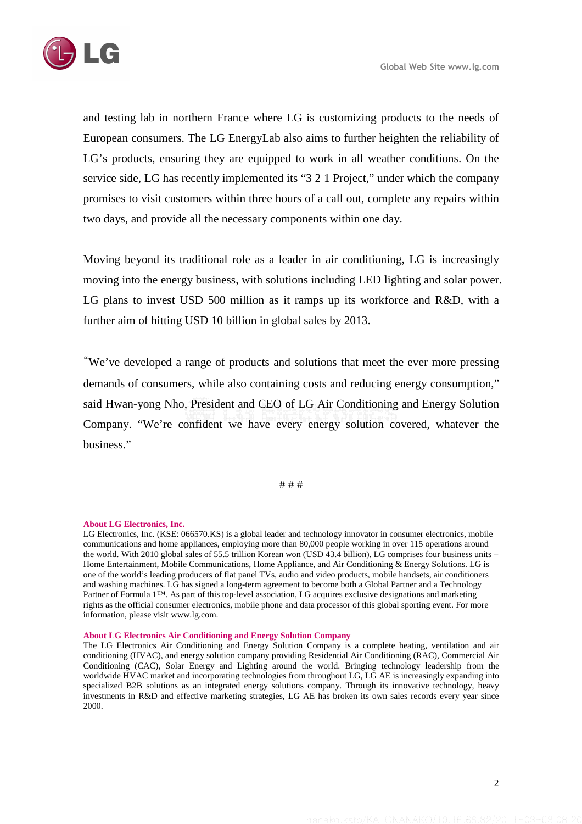

and testing lab in northern France where LG is customizing products to the needs of European consumers. The LG EnergyLab also aims to further heighten the reliability of LG's products, ensuring they are equipped to work in all weather conditions. On the service side, LG has recently implemented its "3 2 1 Project," under which the company promises to visit customers within three hours of a call out, complete any repairs within two days, and provide all the necessary components within one day.

Moving beyond its traditional role as a leader in air conditioning, LG is increasingly moving into the energy business, with solutions including LED lighting and solar power. LG plans to invest USD 500 million as it ramps up its workforce and R&D, with a further aim of hitting USD 10 billion in global sales by 2013.

"We've developed a range of products and solutions that meet the ever more pressing demands of consumers, while also containing costs and reducing energy consumption," said Hwan-yong Nho, President and CEO of LG Air Conditioning and Energy Solution Company. "We're confident we have every energy solution covered, whatever the business."

# # #

## **About LG Electronics, Inc.**

LG Electronics, Inc. (KSE: 066570.KS) is a global leader and technology innovator in consumer electronics, mobile communications and home appliances, employing more than 80,000 people working in over 115 operations around the world. With 2010 global sales of 55.5 trillion Korean won (USD 43.4 billion), LG comprises four business units – Home Entertainment, Mobile Communications, Home Appliance, and Air Conditioning & Energy Solutions. LG is one of the world's leading producers of flat panel TVs, audio and video products, mobile handsets, air conditioners and washing machines. LG has signed a long-term agreement to become both a Global Partner and a Technology Partner of Formula 1™. As part of this top-level association, LG acquires exclusive designations and marketing rights as the official consumer electronics, mobile phone and data processor of this global sporting event. For more information, please visit www.lg.com.

## **About LG Electronics Air Conditioning and Energy Solution Company**

The LG Electronics Air Conditioning and Energy Solution Company is a complete heating, ventilation and air conditioning (HVAC), and energy solution company providing Residential Air Conditioning (RAC), Commercial Air Conditioning (CAC), Solar Energy and Lighting around the world. Bringing technology leadership from the worldwide HVAC market and incorporating technologies from throughout LG, LG AE is increasingly expanding into specialized B2B solutions as an integrated energy solutions company. Through its innovative technology, heavy investments in R&D and effective marketing strategies, LG AE has broken its own sales records every year since 2000.